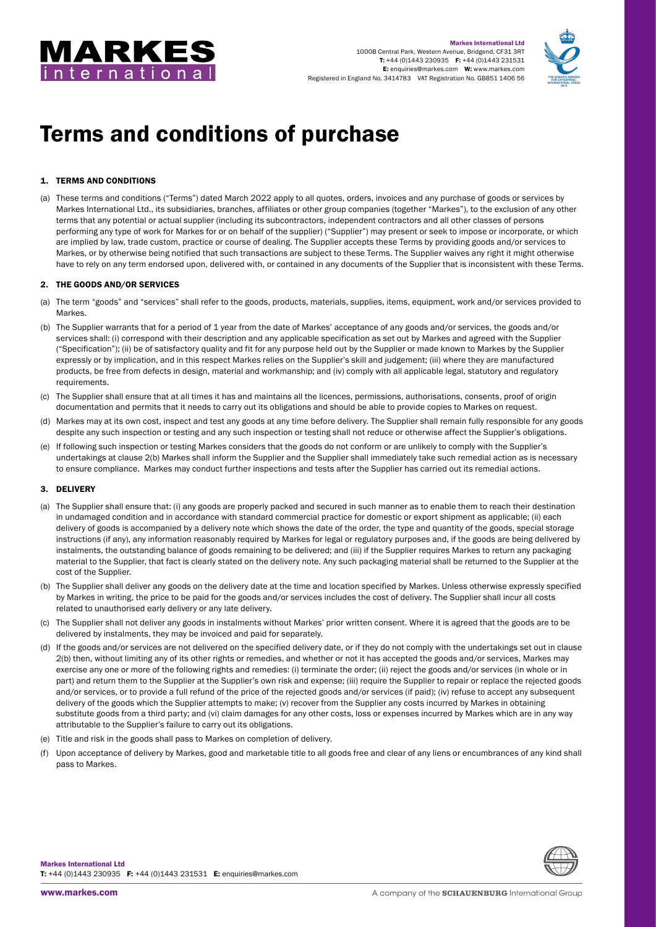



# Terms and conditions of purchase

# 1. TERMS AND CONDITIONS

(a) These terms and conditions ("Terms") dated March 2022 apply to all quotes, orders, invoices and any purchase of goods or services by Markes International Ltd., its subsidiaries, branches, affiliates or other group companies (together "Markes"), to the exclusion of any other terms that any potential or actual supplier (including its subcontractors, independent contractors and all other classes of persons performing any type of work for Markes for or on behalf of the supplier) ("Supplier") may present or seek to impose or incorporate, or which are implied by law, trade custom, practice or course of dealing. The Supplier accepts these Terms by providing goods and/or services to Markes, or by otherwise being notified that such transactions are subject to these Terms. The Supplier waives any right it might otherwise have to rely on any term endorsed upon, delivered with, or contained in any documents of the Supplier that is inconsistent with these Terms.

## 2. THE GOODS AND/OR SERVICES

- (a) The term "goods" and "services" shall refer to the goods, products, materials, supplies, items, equipment, work and/or services provided to Markes.
- (b) The Supplier warrants that for a period of 1 year from the date of Markes' acceptance of any goods and/or services, the goods and/or services shall: (i) correspond with their description and any applicable specification as set out by Markes and agreed with the Supplier ("Specification"); (ii) be of satisfactory quality and fit for any purpose held out by the Supplier or made known to Markes by the Supplier expressly or by implication, and in this respect Markes relies on the Supplier's skill and judgement; (iii) where they are manufactured products, be free from defects in design, material and workmanship; and (iv) comply with all applicable legal, statutory and regulatory requirements.
- (c) The Supplier shall ensure that at all times it has and maintains all the licences, permissions, authorisations, consents, proof of origin documentation and permits that it needs to carry out its obligations and should be able to provide copies to Markes on request.
- (d) Markes may at its own cost, inspect and test any goods at any time before delivery. The Supplier shall remain fully responsible for any goods despite any such inspection or testing and any such inspection or testing shall not reduce or otherwise affect the Supplier's obligations.
- (e) If following such inspection or testing Markes considers that the goods do not conform or are unlikely to comply with the Supplier's undertakings at clause 2(b) Markes shall inform the Supplier and the Supplier shall immediately take such remedial action as is necessary to ensure compliance. Markes may conduct further inspections and tests after the Supplier has carried out its remedial actions.

## 3. DELIVERY

- (a) The Supplier shall ensure that: (i) any goods are properly packed and secured in such manner as to enable them to reach their destination in undamaged condition and in accordance with standard commercial practice for domestic or export shipment as applicable; (ii) each delivery of goods is accompanied by a delivery note which shows the date of the order, the type and quantity of the goods, special storage instructions (if any), any information reasonably required by Markes for legal or regulatory purposes and, if the goods are being delivered by instalments, the outstanding balance of goods remaining to be delivered; and (iii) if the Supplier requires Markes to return any packaging material to the Supplier, that fact is clearly stated on the delivery note. Any such packaging material shall be returned to the Supplier at the cost of the Supplier.
- (b) The Supplier shall deliver any goods on the delivery date at the time and location specified by Markes. Unless otherwise expressly specified by Markes in writing, the price to be paid for the goods and/or services includes the cost of delivery. The Supplier shall incur all costs related to unauthorised early delivery or any late delivery.
- (c) The Supplier shall not deliver any goods in instalments without Markes' prior written consent. Where it is agreed that the goods are to be delivered by instalments, they may be invoiced and paid for separately.
- (d) If the goods and/or services are not delivered on the specified delivery date, or if they do not comply with the undertakings set out in clause 2(b) then, without limiting any of its other rights or remedies, and whether or not it has accepted the goods and/or services, Markes may exercise any one or more of the following rights and remedies: (i) terminate the order; (ii) reject the goods and/or services (in whole or in part) and return them to the Supplier at the Supplier's own risk and expense; (iii) require the Supplier to repair or replace the rejected goods and/or services, or to provide a full refund of the price of the rejected goods and/or services (if paid); (iv) refuse to accept any subsequent delivery of the goods which the Supplier attempts to make; (v) recover from the Supplier any costs incurred by Markes in obtaining substitute goods from a third party; and (vi) claim damages for any other costs, loss or expenses incurred by Markes which are in any way attributable to the Supplier's failure to carry out its obligations.
- (e) Title and risk in the goods shall pass to Markes on completion of delivery.
- (f) Upon acceptance of delivery by Markes, good and marketable title to all goods free and clear of any liens or encumbrances of any kind shall pass to Markes.

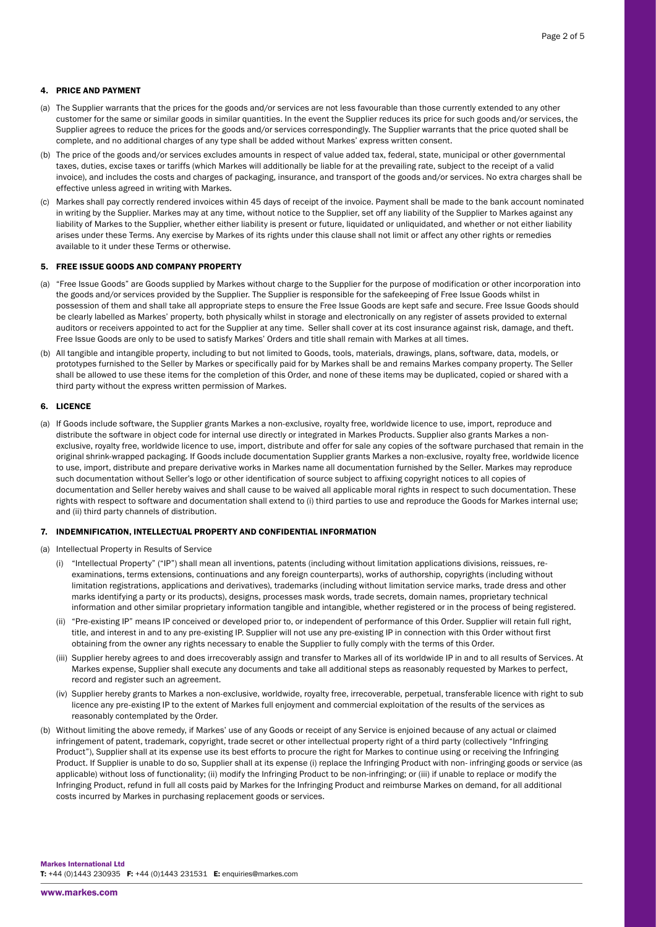## 4. PRICE AND PAYMENT

- (a) The Supplier warrants that the prices for the goods and/or services are not less favourable than those currently extended to any other customer for the same or similar goods in similar quantities. In the event the Supplier reduces its price for such goods and/or services, the Supplier agrees to reduce the prices for the goods and/or services correspondingly. The Supplier warrants that the price quoted shall be complete, and no additional charges of any type shall be added without Markes' express written consent.
- (b) The price of the goods and/or services excludes amounts in respect of value added tax, federal, state, municipal or other governmental taxes, duties, excise taxes or tariffs (which Markes will additionally be liable for at the prevailing rate, subject to the receipt of a valid invoice), and includes the costs and charges of packaging, insurance, and transport of the goods and/or services. No extra charges shall be effective unless agreed in writing with Markes.
- (c) Markes shall pay correctly rendered invoices within 45 days of receipt of the invoice. Payment shall be made to the bank account nominated in writing by the Supplier. Markes may at any time, without notice to the Supplier, set off any liability of the Supplier to Markes against any liability of Markes to the Supplier, whether either liability is present or future, liquidated or unliquidated, and whether or not either liability arises under these Terms. Any exercise by Markes of its rights under this clause shall not limit or affect any other rights or remedies available to it under these Terms or otherwise.

### 5. FREE ISSUE GOODS AND COMPANY PROPERTY

- (a) "Free Issue Goods" are Goods supplied by Markes without charge to the Supplier for the purpose of modification or other incorporation into the goods and/or services provided by the Supplier. The Supplier is responsible for the safekeeping of Free Issue Goods whilst in possession of them and shall take all appropriate steps to ensure the Free Issue Goods are kept safe and secure. Free Issue Goods should be clearly labelled as Markes' property, both physically whilst in storage and electronically on any register of assets provided to external auditors or receivers appointed to act for the Supplier at any time. Seller shall cover at its cost insurance against risk, damage, and theft. Free Issue Goods are only to be used to satisfy Markes' Orders and title shall remain with Markes at all times.
- (b) All tangible and intangible property, including to but not limited to Goods, tools, materials, drawings, plans, software, data, models, or prototypes furnished to the Seller by Markes or specifically paid for by Markes shall be and remains Markes company property. The Seller shall be allowed to use these items for the completion of this Order, and none of these items may be duplicated, copied or shared with a third party without the express written permission of Markes.

#### 6. LICENCE

(a) If Goods include software, the Supplier grants Markes a non-exclusive, royalty free, worldwide licence to use, import, reproduce and distribute the software in object code for internal use directly or integrated in Markes Products. Supplier also grants Markes a nonexclusive, royalty free, worldwide licence to use, import, distribute and offer for sale any copies of the software purchased that remain in the original shrink-wrapped packaging. If Goods include documentation Supplier grants Markes a non-exclusive, royalty free, worldwide licence to use, import, distribute and prepare derivative works in Markes name all documentation furnished by the Seller. Markes may reproduce such documentation without Seller's logo or other identification of source subject to affixing copyright notices to all copies of documentation and Seller hereby waives and shall cause to be waived all applicable moral rights in respect to such documentation. These rights with respect to software and documentation shall extend to (i) third parties to use and reproduce the Goods for Markes internal use; and (ii) third party channels of distribution.

#### 7. INDEMNIFICATION, INTELLECTUAL PROPERTY AND CONFIDENTIAL INFORMATION

- (a) Intellectual Property in Results of Service
	- (i) "Intellectual Property" ("IP") shall mean all inventions, patents (including without limitation applications divisions, reissues, reexaminations, terms extensions, continuations and any foreign counterparts), works of authorship, copyrights (including without limitation registrations, applications and derivatives), trademarks (including without limitation service marks, trade dress and other marks identifying a party or its products), designs, processes mask words, trade secrets, domain names, proprietary technical information and other similar proprietary information tangible and intangible, whether registered or in the process of being registered.
	- (ii) "Pre-existing IP" means IP conceived or developed prior to, or independent of performance of this Order. Supplier will retain full right, title, and interest in and to any pre-existing IP. Supplier will not use any pre-existing IP in connection with this Order without first obtaining from the owner any rights necessary to enable the Supplier to fully comply with the terms of this Order.
	- (iii) Supplier hereby agrees to and does irrecoverably assign and transfer to Markes all of its worldwide IP in and to all results of Services. At Markes expense, Supplier shall execute any documents and take all additional steps as reasonably requested by Markes to perfect, record and register such an agreement.
	- (iv) Supplier hereby grants to Markes a non-exclusive, worldwide, royalty free, irrecoverable, perpetual, transferable licence with right to sub licence any pre-existing IP to the extent of Markes full enjoyment and commercial exploitation of the results of the services as reasonably contemplated by the Order.
- (b) Without limiting the above remedy, if Markes' use of any Goods or receipt of any Service is enjoined because of any actual or claimed infringement of patent, trademark, copyright, trade secret or other intellectual property right of a third party (collectively "Infringing Product"), Supplier shall at its expense use its best efforts to procure the right for Markes to continue using or receiving the Infringing Product. If Supplier is unable to do so, Supplier shall at its expense (i) replace the Infringing Product with non- infringing goods or service (as applicable) without loss of functionality; (ii) modify the Infringing Product to be non-infringing; or (iii) if unable to replace or modify the Infringing Product, refund in full all costs paid by Markes for the Infringing Product and reimburse Markes on demand, for all additional costs incurred by Markes in purchasing replacement goods or services.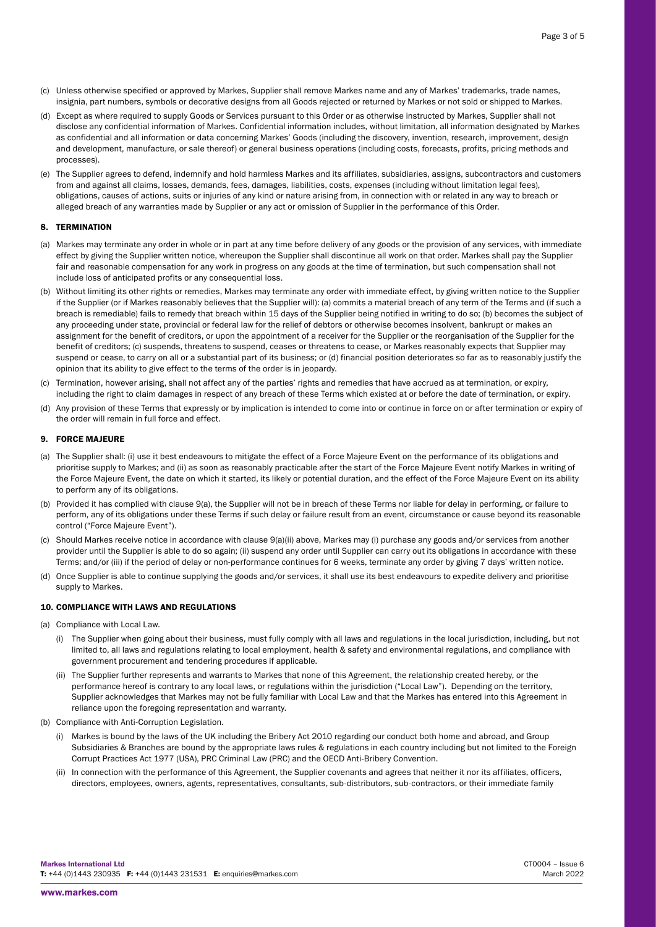Page 3 of 5

- (c) Unless otherwise specified or approved by Markes, Supplier shall remove Markes name and any of Markes' trademarks, trade names, insignia, part numbers, symbols or decorative designs from all Goods rejected or returned by Markes or not sold or shipped to Markes.
- (d) Except as where required to supply Goods or Services pursuant to this Order or as otherwise instructed by Markes, Supplier shall not disclose any confidential information of Markes. Confidential information includes, without limitation, all information designated by Markes as confidential and all information or data concerning Markes' Goods (including the discovery, invention, research, improvement, design and development, manufacture, or sale thereof) or general business operations (including costs, forecasts, profits, pricing methods and processes).
- (e) The Supplier agrees to defend, indemnify and hold harmless Markes and its affiliates, subsidiaries, assigns, subcontractors and customers from and against all claims, losses, demands, fees, damages, liabilities, costs, expenses (including without limitation legal fees), obligations, causes of actions, suits or injuries of any kind or nature arising from, in connection with or related in any way to breach or alleged breach of any warranties made by Supplier or any act or omission of Supplier in the performance of this Order.

## 8. TERMINATION

- (a) Markes may terminate any order in whole or in part at any time before delivery of any goods or the provision of any services, with immediate effect by giving the Supplier written notice, whereupon the Supplier shall discontinue all work on that order. Markes shall pay the Supplier fair and reasonable compensation for any work in progress on any goods at the time of termination, but such compensation shall not include loss of anticipated profits or any consequential loss.
- (b) Without limiting its other rights or remedies, Markes may terminate any order with immediate effect, by giving written notice to the Supplier if the Supplier (or if Markes reasonably believes that the Supplier will): (a) commits a material breach of any term of the Terms and (if such a breach is remediable) fails to remedy that breach within 15 days of the Supplier being notified in writing to do so; (b) becomes the subject of any proceeding under state, provincial or federal law for the relief of debtors or otherwise becomes insolvent, bankrupt or makes an assignment for the benefit of creditors, or upon the appointment of a receiver for the Supplier or the reorganisation of the Supplier for the benefit of creditors; (c) suspends, threatens to suspend, ceases or threatens to cease, or Markes reasonably expects that Supplier may suspend or cease, to carry on all or a substantial part of its business; or (d) financial position deteriorates so far as to reasonably justify the opinion that its ability to give effect to the terms of the order is in jeopardy.
- (c) Termination, however arising, shall not affect any of the parties' rights and remedies that have accrued as at termination, or expiry, including the right to claim damages in respect of any breach of these Terms which existed at or before the date of termination, or expiry.
- (d) Any provision of these Terms that expressly or by implication is intended to come into or continue in force on or after termination or expiry of the order will remain in full force and effect.

## 9. FORCE MAJEURE

- (a) The Supplier shall: (i) use it best endeavours to mitigate the effect of a Force Majeure Event on the performance of its obligations and prioritise supply to Markes; and (ii) as soon as reasonably practicable after the start of the Force Majeure Event notify Markes in writing of the Force Majeure Event, the date on which it started, its likely or potential duration, and the effect of the Force Majeure Event on its ability to perform any of its obligations.
- (b) Provided it has complied with clause 9(a), the Supplier will not be in breach of these Terms nor liable for delay in performing, or failure to perform, any of its obligations under these Terms if such delay or failure result from an event, circumstance or cause beyond its reasonable control ("Force Majeure Event").
- (c) Should Markes receive notice in accordance with clause 9(a)(ii) above, Markes may (i) purchase any goods and/or services from another provider until the Supplier is able to do so again; (ii) suspend any order until Supplier can carry out its obligations in accordance with these Terms; and/or (iii) if the period of delay or non-performance continues for 6 weeks, terminate any order by giving 7 days' written notice.
- (d) Once Supplier is able to continue supplying the goods and/or services, it shall use its best endeavours to expedite delivery and prioritise supply to Markes.

## 10. COMPLIANCE WITH LAWS AND REGULATIONS

- (a) Compliance with Local Law.
	- (i) The Supplier when going about their business, must fully comply with all laws and regulations in the local jurisdiction, including, but not limited to, all laws and regulations relating to local employment, health & safety and environmental regulations, and compliance with government procurement and tendering procedures if applicable.
	- (ii) The Supplier further represents and warrants to Markes that none of this Agreement, the relationship created hereby, or the performance hereof is contrary to any local laws, or regulations within the jurisdiction ("Local Law"). Depending on the territory, Supplier acknowledges that Markes may not be fully familiar with Local Law and that the Markes has entered into this Agreement in reliance upon the foregoing representation and warranty.
- (b) Compliance with Anti-Corruption Legislation.
	- (i) Markes is bound by the laws of the UK including the Bribery Act 2010 regarding our conduct both home and abroad, and Group Subsidiaries & Branches are bound by the appropriate laws rules & regulations in each country including but not limited to the Foreign Corrupt Practices Act 1977 (USA), PRC Criminal Law (PRC) and the OECD Anti-Bribery Convention.
	- (ii) In connection with the performance of this Agreement, the Supplier covenants and agrees that neither it nor its affiliates, officers, directors, employees, owners, agents, representatives, consultants, sub-distributors, sub-contractors, or their immediate family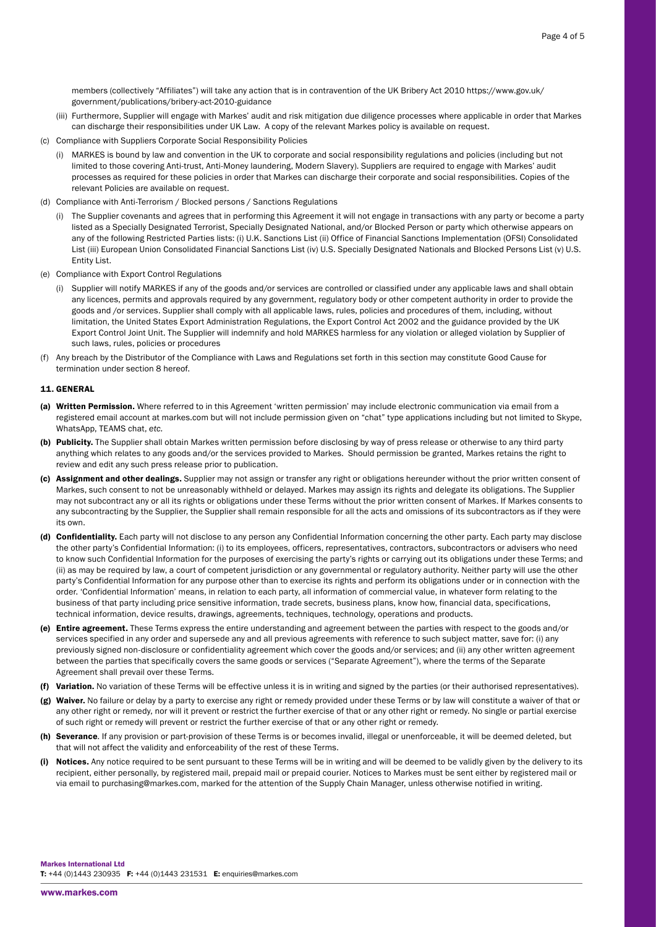members (collectively "Affiliates") will take any action that is in contravention of the UK Bribery Act 2010 [https://www.gov.uk/](https://www.gov.uk/government/publications/bribery-act-2010-guidance) [government/publications/bribery-act-2010-guidance](https://www.gov.uk/government/publications/bribery-act-2010-guidance)

- (iii) Furthermore, Supplier will engage with Markes' audit and risk mitigation due diligence processes where applicable in order that Markes can discharge their responsibilities under UK Law. A copy of the relevant Markes policy is available on request.
- (c) Compliance with Suppliers Corporate Social Responsibility Policies
	- (i) MARKES is bound by law and convention in the UK to corporate and social responsibility regulations and policies (including but not limited to those covering Anti-trust, Anti-Money laundering, Modern Slavery). Suppliers are required to engage with Markes' audit processes as required for these policies in order that Markes can discharge their corporate and social responsibilities. Copies of the relevant Policies are available on request.
- (d) Compliance with Anti-Terrorism / Blocked persons / Sanctions Regulations
	- (i) The Supplier covenants and agrees that in performing this Agreement it will not engage in transactions with any party or become a party listed as a Specially Designated Terrorist, Specially Designated National, and/or Blocked Person or party which otherwise appears on any of the following Restricted Parties lists: (i) U.K. Sanctions List (ii) Office of Financial Sanctions Implementation (OFSI) Consolidated List (iii) European Union Consolidated Financial Sanctions List (iv) U.S. Specially Designated Nationals and Blocked Persons List (v) U.S. Entity List.
- (e) Compliance with Export Control Regulations
	- (i) Supplier will notify MARKES if any of the goods and/or services are controlled or classified under any applicable laws and shall obtain any licences, permits and approvals required by any government, regulatory body or other competent authority in order to provide the goods and /or services. Supplier shall comply with all applicable laws, rules, policies and procedures of them, including, without limitation, the United States Export Administration Regulations, the Export Control Act 2002 and the guidance provided by the UK Export Control Joint Unit. The Supplier will indemnify and hold MARKES harmless for any violation or alleged violation by Supplier of such laws, rules, policies or procedures
- (f) Any breach by the Distributor of the Compliance with Laws and Regulations set forth in this section may constitute Good Cause for termination under section 8 hereof.

## 11. GENERAL

- (a) Written Permission. Where referred to in this Agreement 'written permission' may include electronic communication via email from a registered email account at markes.com but will not include permission given on "chat" type applications including but not limited to Skype, WhatsApp, TEAMS chat, *etc.*
- (b) Publicity. The Supplier shall obtain Markes written permission before disclosing by way of press release or otherwise to any third party anything which relates to any goods and/or the services provided to Markes. Should permission be granted, Markes retains the right to review and edit any such press release prior to publication.
- (c) Assignment and other dealings. Supplier may not assign or transfer any right or obligations hereunder without the prior written consent of Markes, such consent to not be unreasonably withheld or delayed. Markes may assign its rights and delegate its obligations. The Supplier may not subcontract any or all its rights or obligations under these Terms without the prior written consent of Markes. If Markes consents to any subcontracting by the Supplier, the Supplier shall remain responsible for all the acts and omissions of its subcontractors as if they were its own.
- (d) Confidentiality. Each party will not disclose to any person any Confidential Information concerning the other party. Each party may disclose the other party's Confidential Information: (i) to its employees, officers, representatives, contractors, subcontractors or advisers who need to know such Confidential Information for the purposes of exercising the party's rights or carrying out its obligations under these Terms; and (ii) as may be required by law, a court of competent jurisdiction or any governmental or regulatory authority. Neither party will use the other party's Confidential Information for any purpose other than to exercise its rights and perform its obligations under or in connection with the order. 'Confidential Information' means, in relation to each party, all information of commercial value, in whatever form relating to the business of that party including price sensitive information, trade secrets, business plans, know how, financial data, specifications, technical information, device results, drawings, agreements, techniques, technology, operations and products.
- (e) Entire agreement. These Terms express the entire understanding and agreement between the parties with respect to the goods and/or services specified in any order and supersede any and all previous agreements with reference to such subject matter, save for: (i) any previously signed non-disclosure or confidentiality agreement which cover the goods and/or services; and (ii) any other written agreement between the parties that specifically covers the same goods or services ("Separate Agreement"), where the terms of the Separate Agreement shall prevail over these Terms.
- Variation. No variation of these Terms will be effective unless it is in writing and signed by the parties (or their authorised representatives).
- (g) Waiver. No failure or delay by a party to exercise any right or remedy provided under these Terms or by law will constitute a waiver of that or any other right or remedy, nor will it prevent or restrict the further exercise of that or any other right or remedy. No single or partial exercise of such right or remedy will prevent or restrict the further exercise of that or any other right or remedy.
- (h) Severance. If any provision or part-provision of these Terms is or becomes invalid, illegal or unenforceable, it will be deemed deleted, but that will not affect the validity and enforceability of the rest of these Terms.
- (i) Notices. Any notice required to be sent pursuant to these Terms will be in writing and will be deemed to be validly given by the delivery to its recipient, either personally, by registered mail, prepaid mail or prepaid courier. Notices to Markes must be sent either by registered mail or via email to purchasing@markes.com, marked for the attention of the Supply Chain Manager, unless otherwise notified in writing.